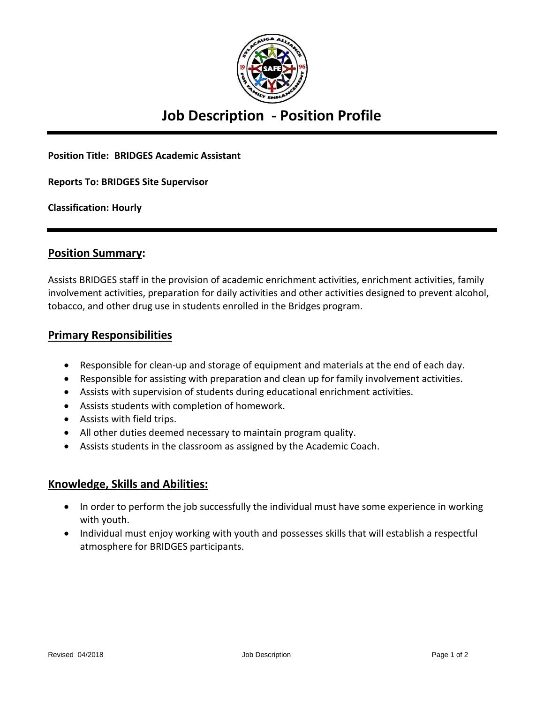

## **Job Description - Position Profile**

**Position Title: BRIDGES Academic Assistant**

**Reports To: BRIDGES Site Supervisor** 

**Classification: Hourly**

#### **Position Summary:**

Assists BRIDGES staff in the provision of academic enrichment activities, enrichment activities, family involvement activities, preparation for daily activities and other activities designed to prevent alcohol, tobacco, and other drug use in students enrolled in the Bridges program.

#### **Primary Responsibilities**

- Responsible for clean-up and storage of equipment and materials at the end of each day.
- Responsible for assisting with preparation and clean up for family involvement activities.
- Assists with supervision of students during educational enrichment activities.
- Assists students with completion of homework.
- Assists with field trips.
- All other duties deemed necessary to maintain program quality.
- Assists students in the classroom as assigned by the Academic Coach.

#### **Knowledge, Skills and Abilities:**

- In order to perform the job successfully the individual must have some experience in working with youth.
- Individual must enjoy working with youth and possesses skills that will establish a respectful atmosphere for BRIDGES participants.